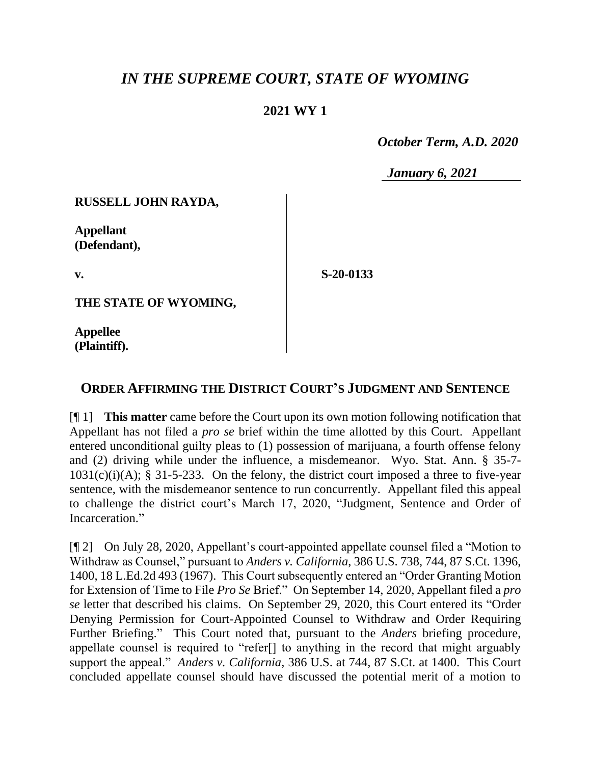## *IN THE SUPREME COURT, STATE OF WYOMING*

## **2021 WY 1**

 *October Term, A.D. 2020*

*January 6, 2021*

**RUSSELL JOHN RAYDA,**

**Appellant (Defendant),**

**v.**

**S-20-0133**

**THE STATE OF WYOMING,**

**Appellee (Plaintiff).**

## **ORDER AFFIRMING THE DISTRICT COURT'S JUDGMENT AND SENTENCE**

[¶ 1] **This matter** came before the Court upon its own motion following notification that Appellant has not filed a *pro se* brief within the time allotted by this Court. Appellant entered unconditional guilty pleas to (1) possession of marijuana, a fourth offense felony and (2) driving while under the influence, a misdemeanor. Wyo. Stat. Ann. § 35-7-  $1031(c)(i)(A);$  § 31-5-233. On the felony, the district court imposed a three to five-year sentence, with the misdemeanor sentence to run concurrently. Appellant filed this appeal to challenge the district court's March 17, 2020, "Judgment, Sentence and Order of Incarceration."

[¶ 2] On July 28, 2020, Appellant's court-appointed appellate counsel filed a "Motion to Withdraw as Counsel," pursuant to *Anders v. California*, 386 U.S. 738, 744, 87 S.Ct. 1396, 1400, 18 L.Ed.2d 493 (1967). This Court subsequently entered an "Order Granting Motion for Extension of Time to File *Pro Se* Brief." On September 14, 2020, Appellant filed a *pro se* letter that described his claims. On September 29, 2020, this Court entered its "Order Denying Permission for Court-Appointed Counsel to Withdraw and Order Requiring Further Briefing." This Court noted that, pursuant to the *Anders* briefing procedure, appellate counsel is required to "refer[] to anything in the record that might arguably support the appeal." *Anders v. California*, 386 U.S. at 744, 87 S.Ct. at 1400. This Court concluded appellate counsel should have discussed the potential merit of a motion to